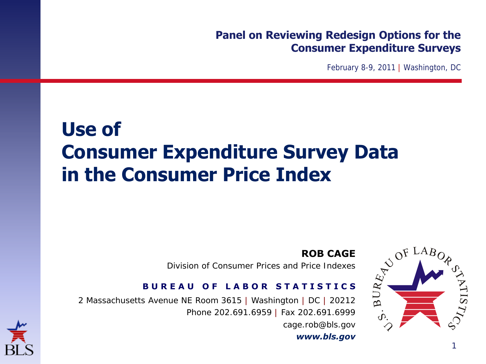#### **Panel on Reviewing Redesign Options for the Consumer Expenditure Surveys**

February 8-9, 2011 | Washington, DC

#### **Use of Consumer Expenditure Survey Data in the Consumer Price Index**



Division of Consumer Prices and Price Indexes

2 Massachusetts Avenue NE Room 3615 | Washington | DC | 20212 Phone 202.691.6959 | Fax 202.691.6999 cage.rob@bls.gov





1

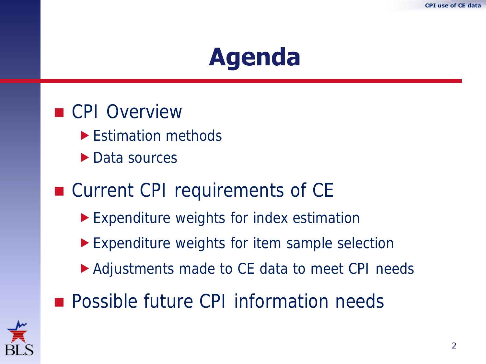#### **Agenda**



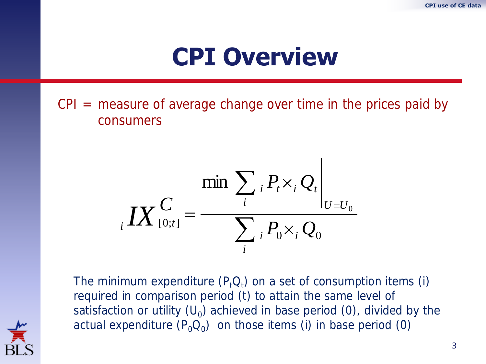#### **CPI Overview**

 $CPI$  = measure of average change over time in the prices paid by consumers

$$
\sum_{i} \sum_{i} P_{i} \times_{i} Q_{i}
$$
\n
$$
i \sum_{i} P_{i} \times_{i} Q_{i}
$$

The minimum expenditure  $(P_t Q_t)$  on a set of consumption items (i) required in comparison period (t) to attain the same level of satisfaction or utility (U<sub>0</sub>) achieved in base period (0), divided by the actual expenditure  $(P_0Q_0)$  on those items (i) in base period (0)

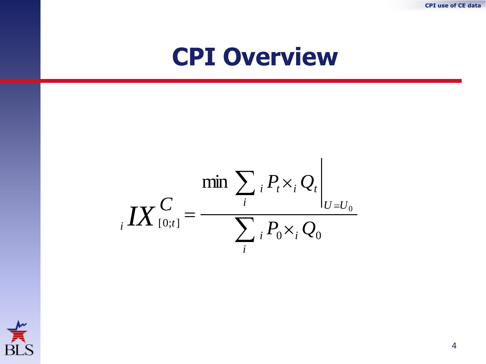**CPI use of CE data**

#### **CPI Overview**

$$
\left. \underset{i}{\mathbf{IX}}\right|_{[0;t]} = \frac{\min \sum_{i} P_{t} \times_{i} Q_{t}}{\sum_{i} P_{0} \times_{i} Q_{0}}
$$



4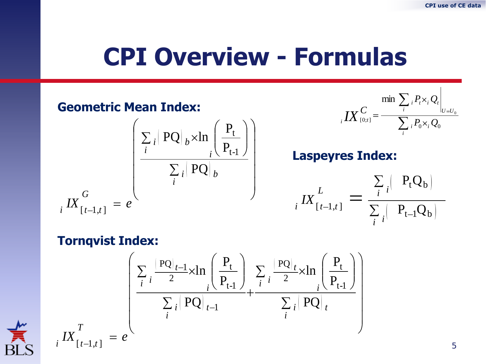#### **CPI Overview - Formulas**

**Geometric Mean Index:**  
\n
$$
i X_{[0:t]}^C = \frac{\sum_i P_i X_i Q_i \Big|_{U = U_0}}{\sum_i P_i X_i Q_0}
$$
\n
$$
i X_{[t-1,t]}^G = e^{\left(\frac{\sum_i |PQ|_b \times \ln\left(\frac{P_t}{P_{t-1}}\right)}{\sum_i |PQ|_b}\right)}
$$
\n**Langeyres Index:**  
\n
$$
i X_{[t-1,t]}^G = \frac{\sum_i |PQ_b|}{\sum_i |P_{t-1}Q_b|}
$$
\n**Tornqvist Index:**  
\n
$$
\left(\frac{\sum_i \frac{|PQ|_{t-1}}{2} \times \ln\left(\frac{P_t}{P_{t-1}}\right)}{\sum_i |PQ|_{t-1}} + \frac{\sum_i \frac{|PQ|_t}{2} \times \ln\left(\frac{P_t}{P_{t-1}}\right)}{\sum_i |PQ|_t}\right)
$$

*i*

*T*

 $\sum_{t=1,t}^{\infty} I X_{t-1,t} = e^{\lambda t}$ 

$$
\sum_{\text{BLS}}^{\prime\prime}
$$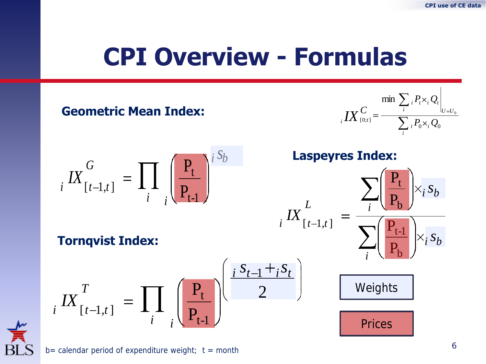#### **CPI Overview - Formulas**





 $b=$  calendar period of expenditure weight;  $t =$  month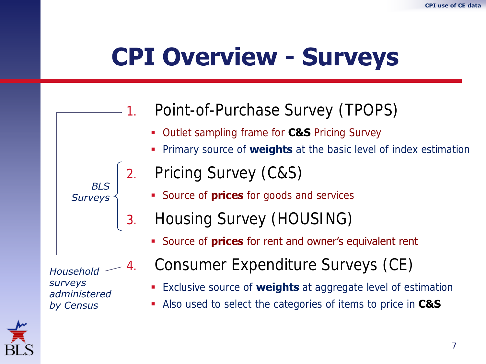# **CPI Overview - Surveys**

#### Point-of-Purchase Survey (TPOPS)

- Outlet sampling frame for **C&S** Pricing Survey
- Primary source of **weights** at the basic level of index estimation
- 2. Pricing Survey (C&S)
	- **Source of prices** for goods and services
	- 3. Housing Survey (HOUSING)
		- **Source of prices for rent and owner's equivalent rent**

*Household surveys administered by Census*

*BLS Surveys*

- 4. Consumer Expenditure Surveys (CE)
	- Exclusive source of **weights** at aggregate level of estimation
	- Also used to select the categories of items to price in **C&S**



7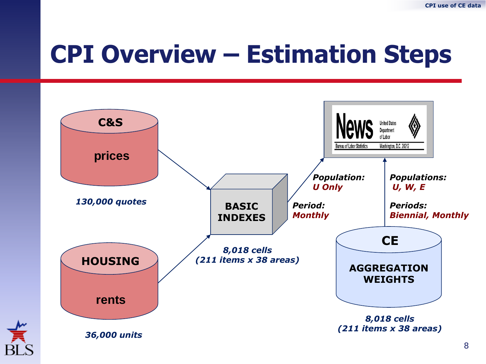# **CPI Overview – Estimation Steps**



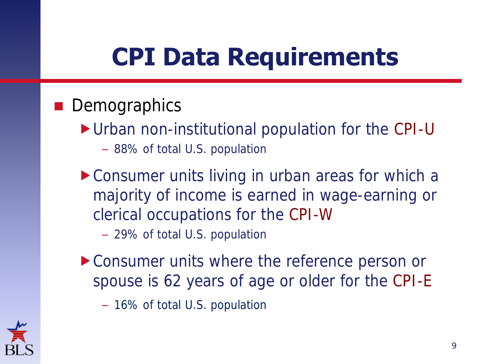# **CPI Data Requirements**

#### **Demographics**

- Urban non-institutional population for the CPI-U
	- 88% of total U.S. population
- ▶ Consumer units living in urban areas for which a majority of income is earned in wage-earning or clerical occupations for the CPI-W

– 29% of total U.S. population

Consumer units where the reference person or spouse is 62 years of age or older for the CPI-E

– 16% of total U.S. population

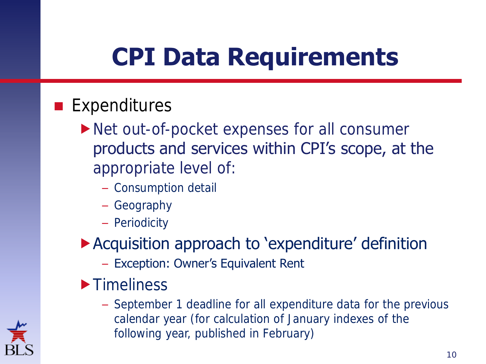# **CPI Data Requirements**

#### **Expenditures**

- ▶ Net out-of-pocket expenses for all consumer products and services within CPI's scope, at the appropriate level of:
	- Consumption detail
	- Geography
	- Periodicity
- Acquisition approach to 'expenditure' definition
	- Exception: Owner's Equivalent Rent
- **Timeliness** 
	- September 1 deadline for all expenditure data for the previous calendar year (for calculation of January indexes of the following year, published in February)

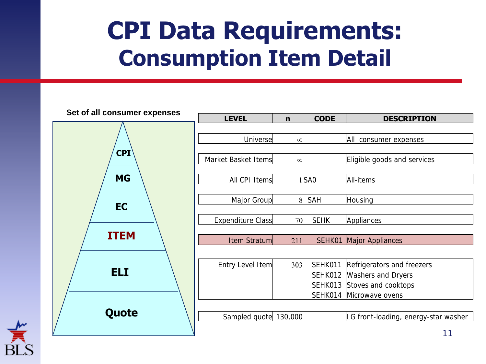### **CPI Data Requirements: Consumption Item Detail**





| <b>LEVEL</b>            | $\mathbf n$ | <b>CODE</b> | <b>DESCRIPTION</b>                   |
|-------------------------|-------------|-------------|--------------------------------------|
|                         |             |             |                                      |
| Universel               | $\infty$    |             | All consumer expenses                |
|                         |             |             |                                      |
| Market Basket Items     | $\infty$    |             | Eligible goods and services          |
|                         |             |             |                                      |
| All CPI Items           |             | $1$ SAO     | All-items                            |
| Major Group             | 8           | <b>SAH</b>  | Housing                              |
|                         |             |             |                                      |
| Expenditure Class       | 70          | <b>SEHK</b> | Appliances                           |
|                         |             |             |                                      |
| Item Stratum            | 211         |             | <b>SEHK01 Major Appliances</b>       |
|                         |             |             |                                      |
| 303<br>Entry Level Item |             | SEHK011     | Refrigerators and freezers           |
|                         |             | SEHK012     | <b>Washers and Dryers</b>            |
|                         |             | SEHK013     | Stoves and cooktops                  |
|                         |             | SEHK014     | Microwave ovens                      |
|                         |             |             |                                      |
| Sampled quote 130,000   |             |             | LG front-loading, energy-star washer |

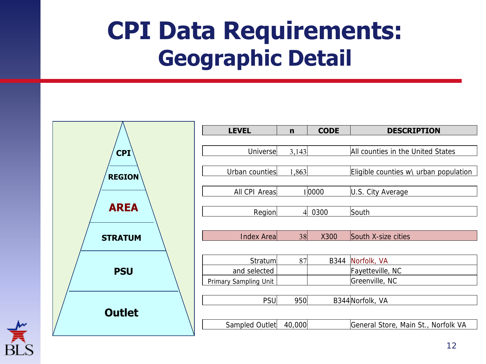## **CPI Data Requirements: Geographic Detail**



<span id="page-11-0"></span>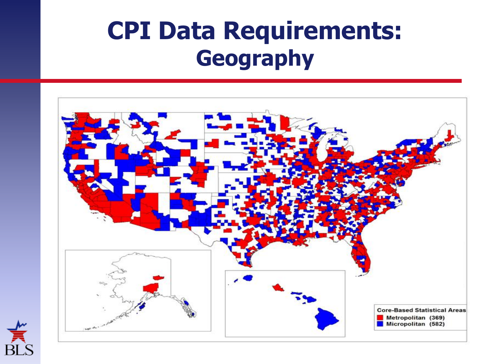### **CPI Data Requirements: Geography**



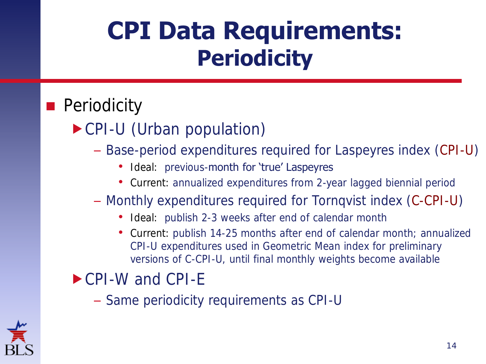### **CPI Data Requirements: Periodicity**

#### **Periodicity**

CPI-U (Urban population)

#### – Base-period expenditures required for Laspeyres index (CPI-U)

- Ideal: previous-month for 'true' Laspeyres
- Current: annualized expenditures from 2-year lagged biennial period
- Monthly expenditures required for Tornqvist index (C-CPI-U)
	- Ideal: publish 2-3 weeks after end of calendar month
	- Current: publish 14-25 months after end of calendar month; annualized CPI-U expenditures used in Geometric Mean index for preliminary versions of C-CPI-U, until final monthly weights become available

#### ▶ CPI-W and CPI-E

– Same periodicity requirements as CPI-U

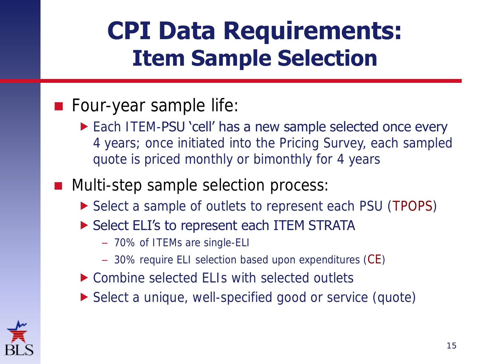### **CPI Data Requirements: Item Sample Selection**

#### **Four-year sample life:**

**Each ITEM-PSU 'cell' has a new sample selected once every** 4 years; once initiated into the Pricing Survey, each sampled quote is priced monthly or bimonthly for 4 years

#### **Multi-step sample selection process:**

- ▶ Select a sample of outlets to represent each PSU (TPOPS)
- Select ELI's to represent each ITEM STRATA
	- 70% of ITEMs are single-ELI
	- 30% require ELI selection based upon expenditures (CE)
- ▶ Combine selected ELIs with selected outlets
- ▶ Select a unique, well-specified good or service (quote)

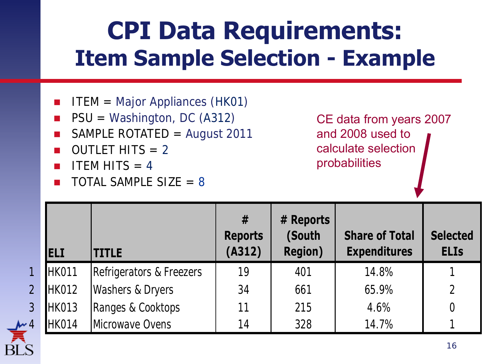## **CPI Data Requirements: Item Sample Selection - Example**

- ITEM = Major Appliances (HK01)
- PSU = Washington, DC (A312)
- SAMPLE ROTATED = August 2011
- $\Box$  OUTLET HITS = 2
- $\blacksquare$  ITEM HITS = 4
- $\Box$  TOTAL SAMPLE SIZE = 8

CE data from years 2007 and 2008 used to calculate selection probabilities

|                | <b>IELI</b>  | <b>TITLE</b>             | #<br><b>Reports</b><br>(A312) | # Reports<br>(South<br><b>Region)</b> | <b>Share of Total</b><br><b>Expenditures</b> | <b>Selected</b><br><b>ELIs</b> |
|----------------|--------------|--------------------------|-------------------------------|---------------------------------------|----------------------------------------------|--------------------------------|
| $\overline{1}$ | <b>HK011</b> | Refrigerators & Freezers | 19                            | 401                                   | 14.8%                                        |                                |
| $\overline{2}$ | <b>HK012</b> | Washers & Dryers         | 34                            | 661                                   | 65.9%                                        |                                |
| 3              | <b>HK013</b> | Ranges & Cooktops        | 11                            | 215                                   | 4.6%                                         |                                |
| $\overline{4}$ | HK014        | Microwave Ovens          | 14                            | 328                                   | 14.7%                                        |                                |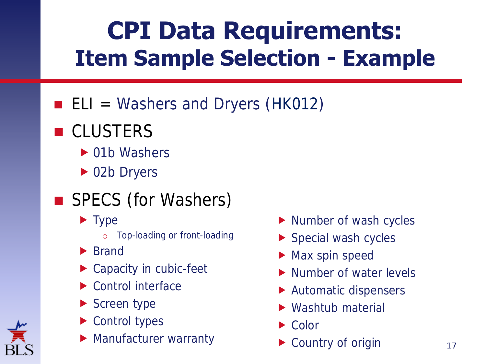# **CPI Data Requirements: Item Sample Selection - Example**

- $\blacksquare$  ELI = Washers and Dryers (HK012)
- CLUSTERS
	- ▶ 01b Washers
	- ▶ 02b Dryers
- SPECS (for Washers)
	- **Type** 
		- o Top-loading or front-loading
	- ▶ Brand
	- ▶ Capacity in cubic-feet
	- ▶ Control interface
	- Screen type
	- ▶ Control types
	- **Manufacturer warranty**
- Number of wash cycles
- Special wash cycles
- Max spin speed
- Number of water levels
- Automatic dispensers
- ▶ Washtub material
- ▶ Color
- ▶ Country of origin

17

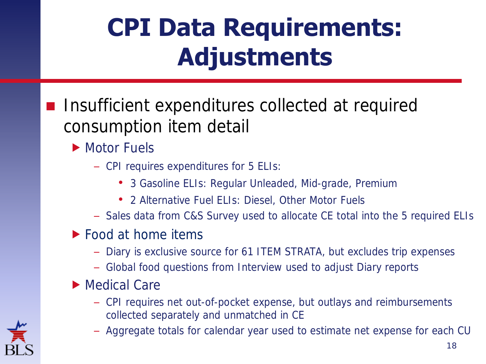# **CPI Data Requirements: Adjustments**

- Insufficient expenditures collected at required consumption item detail
	- Motor Fuels
		- CPI requires expenditures for 5 ELIs:
			- 3 Gasoline ELIs: Regular Unleaded, Mid-grade, Premium
			- 2 Alternative Fuel ELIs: Diesel, Other Motor Fuels
		- Sales data from C&S Survey used to allocate CE total into the 5 required ELIs
	- ▶ Food at home items
		- Diary is exclusive source for 61 ITEM STRATA, but excludes trip expenses
		- Global food questions from Interview used to adjust Diary reports
	- ▶ Medical Care
		- CPI requires net out-of-pocket expense, but outlays and reimbursements collected separately and unmatched in CE
		- Aggregate totals for calendar year used to estimate net expense for each CU

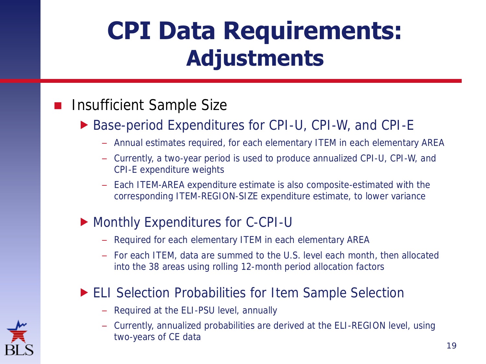### **CPI Data Requirements: Adjustments**

#### Insufficient Sample Size

- ▶ Base-period Expenditures for CPI-U, CPI-W, and CPI-E
	- Annual estimates required, for each elementary ITEM in each elementary AREA
	- Currently, a two-year period is used to produce annualized CPI-U, CPI-W, and CPI-E expenditure weights
	- Each ITEM-AREA expenditure estimate is also composite-estimated with the corresponding ITEM-REGION-SIZE expenditure estimate, to lower variance

#### Monthly Expenditures for C-CPI-U

- Required for each elementary ITEM in each elementary AREA
- For each ITEM, data are summed to the U.S. level each month, then allocated into the 38 areas using rolling 12-month period allocation factors

#### ▶ ELI Selection Probabilities for Item Sample Selection

- Required at the ELI-PSU level, annually
- Currently, annualized probabilities are derived at the ELI-REGION level, using two-years of CE data

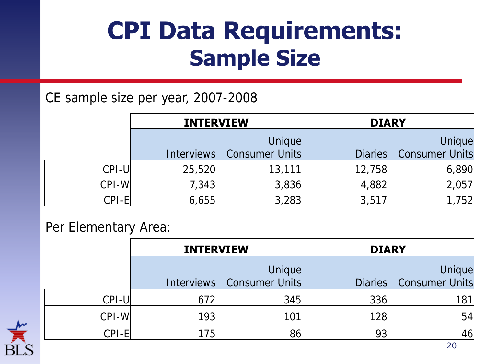### **CPI Data Requirements: Sample Size**

#### CE sample size per year, 2007-2008

|                 | <b>INTERVIEW</b>  |                | <b>DIARY</b>   |                |
|-----------------|-------------------|----------------|----------------|----------------|
|                 |                   | Unique         |                | Unique         |
|                 | <i>Interviews</i> | Consumer Units | <b>Diaries</b> | Consumer Units |
| $CPI-U$         | 25,520            | 13,111         | 12,758         | 6,890          |
| CPI-WI          | 7,343             | 3,836          | 4,882          | 2,057          |
| $\bigcap P$ l-F | 6,655             | 3,283          | 3,517          | 52             |

#### Per Elementary Area:

|                                | <b>INTERVIEW</b> |                          | <b>DIARY</b>   |                                 |
|--------------------------------|------------------|--------------------------|----------------|---------------------------------|
|                                | Interviews       | Unique<br>Consumer Units | <b>Diaries</b> | Unique<br><b>Consumer Units</b> |
| $CPI-U$                        | 672              | 345                      | 336            | 81                              |
| $CPI-WI$                       | 193              | 101                      | 128            | 54                              |
| $\mathbb{C}$ PI-F $\mathbb{C}$ | 175              | 86                       | 93             | 46                              |

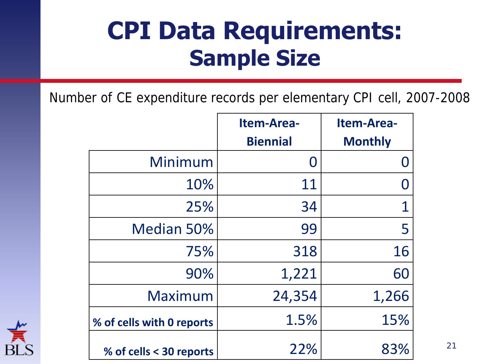#### **CPI Data Requirements: Sample Size**

Number of CE expenditure records per elementary CPI cell, 2007-2008

|                           | <b>Item-Area-</b><br><b>Biennial</b> | <b>Item-Area-</b><br><b>Monthly</b> |
|---------------------------|--------------------------------------|-------------------------------------|
| Minimum                   | $\bm{0}$                             | $\Omega$                            |
| 10%                       | 11                                   | $\Omega$                            |
| 25%                       | 34                                   | 1                                   |
| Median 50%                | 99                                   | 5                                   |
| 75%                       | 318                                  | 16                                  |
| 90%                       | 1,221                                | 60                                  |
| Maximum                   | 24,354                               | 1,266                               |
| % of cells with 0 reports | 1.5%                                 | 15%                                 |
| % of cells < 30 reports   | 22%                                  | 83%                                 |



21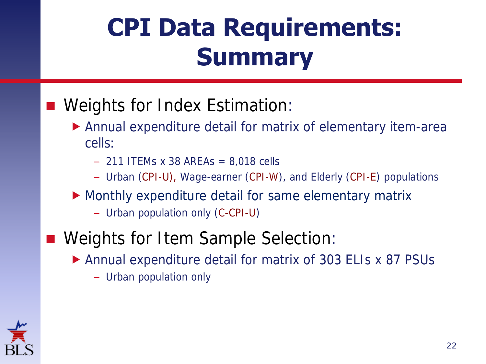# **CPI Data Requirements: Summary**

#### Weights for Index Estimation:

- Annual expenditure detail for matrix of elementary item-area cells:
	- $-$  211 ITEMs x 38 AREAs = 8,018 cells
	- Urban (CPI-U), Wage-earner (CPI-W), and Elderly (CPI-E) populations
- Monthly expenditure detail for same elementary matrix
	- Urban population only (C-CPI-U)
- Weights for Item Sample Selection:
	- Annual expenditure detail for matrix of 303 ELIs x 87 PSUs
		- Urban population only

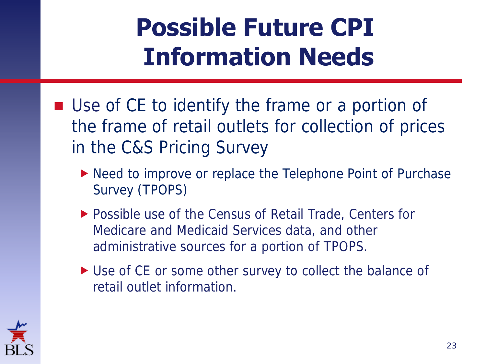# **Possible Future CPI Information Needs**

- Use of CE to identify the frame or a portion of the frame of retail outlets for collection of prices in the C&S Pricing Survey
	- ▶ Need to improve or replace the Telephone Point of Purchase Survey (TPOPS)
	- ▶ Possible use of the Census of Retail Trade, Centers for Medicare and Medicaid Services data, and other administrative sources for a portion of TPOPS.
	- ▶ Use of CE or some other survey to collect the balance of retail outlet information.

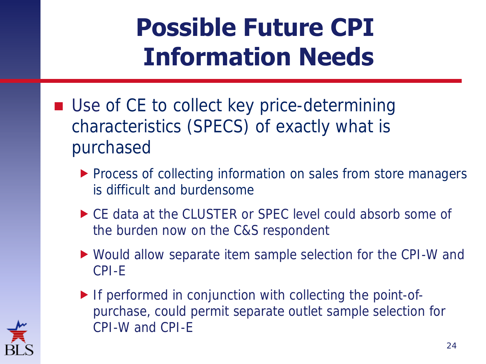# **Possible Future CPI Information Needs**

- Use of CE to collect key price-determining characteristics (SPECS) of exactly what is purchased
	- **Process of collecting information on sales from store managers** is difficult and burdensome
	- ▶ CE data at the CLUSTER or SPEC level could absorb some of the burden now on the C&S respondent
	- Would allow separate item sample selection for the CPI-W and CPI-E
	- If performed in conjunction with collecting the point-ofpurchase, could permit separate outlet sample selection for CPI-W and CPI-E

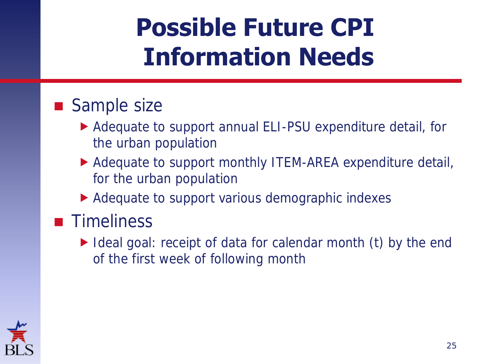# **Possible Future CPI Information Needs**

#### Sample size

- Adequate to support annual ELI-PSU expenditure detail, for the urban population
- Adequate to support monthly ITEM-AREA expenditure detail, for the urban population
- Adequate to support various demographic indexes

#### **Timeliness**

Ideal goal: receipt of data for calendar month (t) by the end of the first week of following month

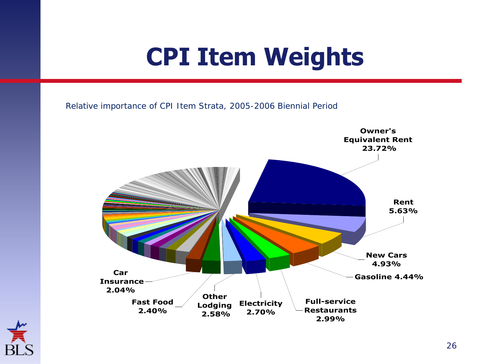# **CPI Item Weights**

Relative importance of CPI Item Strata, 2005-2006 Biennial Period



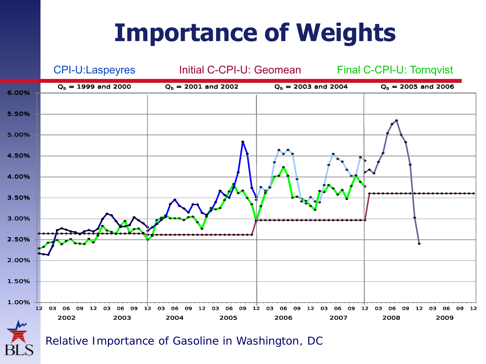### **Importance of Weights**



Relative Importance of Gasoline in Washington, DC